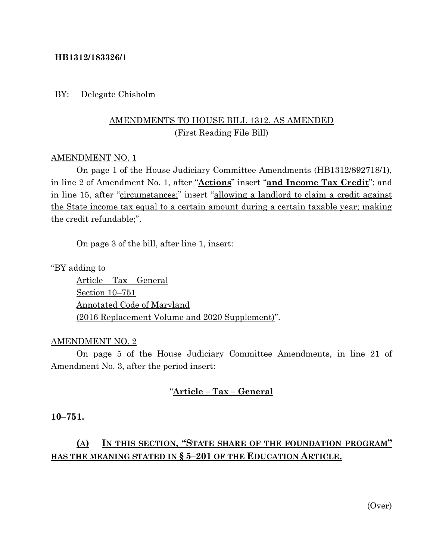#### **HB1312/183326/1**

#### BY: Delegate Chisholm

## AMENDMENTS TO HOUSE BILL 1312, AS AMENDED (First Reading File Bill)

#### AMENDMENT NO. 1

On page 1 of the House Judiciary Committee Amendments (HB1312/892718/1), in line 2 of Amendment No. 1, after "**Actions**" insert "**and Income Tax Credit**"; and in line 15, after "circumstances;" insert "allowing a landlord to claim a credit against the State income tax equal to a certain amount during a certain taxable year; making the credit refundable;".

On page 3 of the bill, after line 1, insert:

"BY adding to

Article – Tax – General Section 10–751 Annotated Code of Maryland (2016 Replacement Volume and 2020 Supplement)".

#### AMENDMENT NO. 2

On page 5 of the House Judiciary Committee Amendments, in line 21 of Amendment No. 3, after the period insert:

### "**Article – Tax – General**

#### **10–751.**

# **(A) IN THIS SECTION, "STATE SHARE OF THE FOUNDATION PROGRAM" HAS THE MEANING STATED IN § 5–201 OF THE EDUCATION ARTICLE.**

(Over)